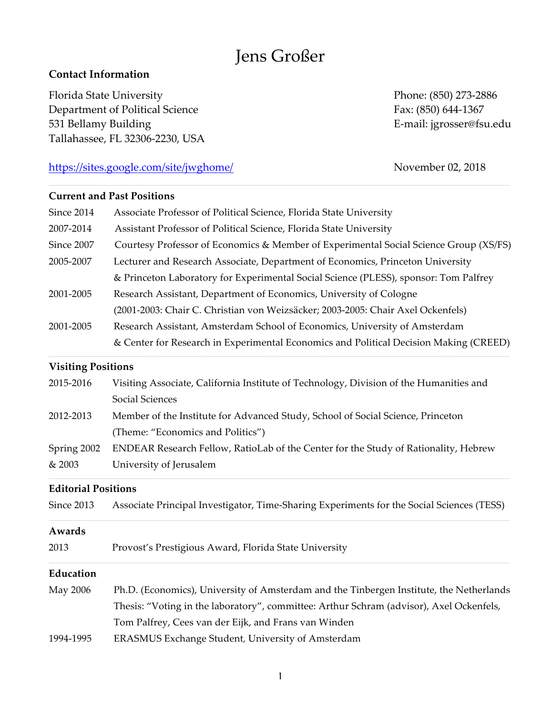# Jens Großer

# **Contact Information**

Florida State University **Phone: (850)** 273-2886 Department of Political Science Fax: (850) 644-1367 531 Bellamy Building **E-mail:** jgrosser@fsu.edu Tallahassee, FL 32306-2230, USA

# https://sites.google.com/site/jwghome/ November 02, 2018

# **Current and Past Positions**

| Since 2014 | Associate Professor of Political Science, Florida State University                    |  |  |
|------------|---------------------------------------------------------------------------------------|--|--|
| 2007-2014  | Assistant Professor of Political Science, Florida State University                    |  |  |
| Since 2007 | Courtesy Professor of Economics & Member of Experimental Social Science Group (XS/FS) |  |  |
| 2005-2007  | Lecturer and Research Associate, Department of Economics, Princeton University        |  |  |
|            | & Princeton Laboratory for Experimental Social Science (PLESS), sponsor: Tom Palfrey  |  |  |
| 2001-2005  | Research Assistant, Department of Economics, University of Cologne                    |  |  |
|            | (2001-2003: Chair C. Christian von Weizsäcker; 2003-2005: Chair Axel Ockenfels)       |  |  |
| 2001-2005  | Research Assistant, Amsterdam School of Economics, University of Amsterdam            |  |  |
|            | & Center for Research in Experimental Economics and Political Decision Making (CREED) |  |  |
|            |                                                                                       |  |  |

#### **Visiting Positions**

| & 2003      | University of Jerusalem                                                                |  |
|-------------|----------------------------------------------------------------------------------------|--|
| Spring 2002 | ENDEAR Research Fellow, RatioLab of the Center for the Study of Rationality, Hebrew    |  |
|             | (Theme: "Economics and Politics")                                                      |  |
| 2012-2013   | Member of the Institute for Advanced Study, School of Social Science, Princeton        |  |
|             | Social Sciences                                                                        |  |
| 2015-2016   | Visiting Associate, California Institute of Technology, Division of the Humanities and |  |

## **Editorial Positions**

| Since 2013 |  | Associate Principal Investigator, Time-Sharing Experiments for the Social Sciences (TESS) |  |
|------------|--|-------------------------------------------------------------------------------------------|--|
|------------|--|-------------------------------------------------------------------------------------------|--|

## **Awards**

2013 Provost's Prestigious Award, Florida State University

## **Education**

May 2006 Ph.D. (Economics), University of Amsterdam and the Tinbergen Institute, the Netherlands Thesis: "Voting in the laboratory", committee: Arthur Schram (advisor), Axel Ockenfels, Tom Palfrey, Cees van der Eijk, and Frans van Winden 1994-1995 ERASMUS Exchange Student*,* University of Amsterdam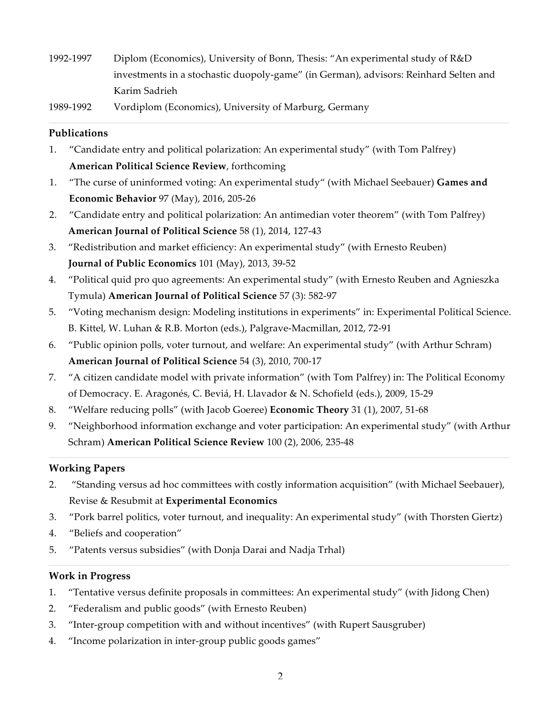- 1992-1997 Diplom (Economics), University of Bonn, Thesis: "An experimental study of R&D investments in a stochastic duopoly-game" (in German), advisors: Reinhard Selten and Karim Sadrieh
- 1989-1992 Vordiplom (Economics), University of Marburg, Germany

## **Publications**

- 1. "Candidate entry and political polarization: An experimental study" (with Tom Palfrey) **American Political Science Review**, forthcoming
- 1. "The curse of uninformed voting: An experimental study" (with Michael Seebauer) **Games and Economic Behavior** 97 (May), 2016, 205-26
- 2. "Candidate entry and political polarization: An antimedian voter theorem" (with Tom Palfrey) **American Journal of Political Science** 58 (1), 2014, 127-43
- 3. "Redistribution and market efficiency: An experimental study" (with Ernesto Reuben) **Journal of Public Economics** 101 (May), 2013, 39-52
- 4. "Political quid pro quo agreements: An experimental study" (with Ernesto Reuben and Agnieszka Tymula) **American Journal of Political Science** 57 (3): 582-97
- 5. "Voting mechanism design: Modeling institutions in experiments" in: Experimental Political Science. B. Kittel, W. Luhan & R.B. Morton (eds.), Palgrave-Macmillan, 2012, 72-91
- 6. "Public opinion polls, voter turnout, and welfare: An experimental study" (with Arthur Schram) **American Journal of Political Science** 54 (3), 2010, 700-17
- 7. "A citizen candidate model with private information" (with Tom Palfrey) in: The Political Economy of Democracy. E. Aragonés, C. Beviá, H. Llavador & N. Schofield (eds.), 2009, 15-29
- 8. "Welfare reducing polls" (with Jacob Goeree) **Economic Theory** 31 (1), 2007, 51-68
- 9. "Neighborhood information exchange and voter participation: An experimental study" (with Arthur Schram) **American Political Science Review** 100 (2), 2006, 235-48

## **Working Papers**

- 2. "Standing versus ad hoc committees with costly information acquisition" (with Michael Seebauer), Revise & Resubmit at **Experimental Economics**
- 3. "Pork barrel politics, voter turnout, and inequality: An experimental study" (with Thorsten Giertz)
- 4. "Beliefs and cooperation"
- 5. "Patents versus subsidies" (with Donja Darai and Nadja Trhal)

## **Work in Progress**

- 1. "Tentative versus definite proposals in committees: An experimental study" (with Jidong Chen)
- 2. "Federalism and public goods" (with Ernesto Reuben)
- 3. "Inter-group competition with and without incentives" (with Rupert Sausgruber)
- 4. "Income polarization in inter-group public goods games"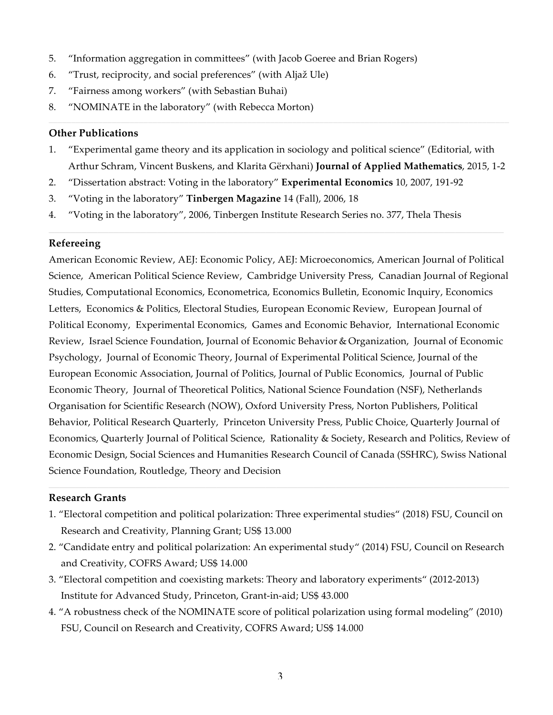- 5. "Information aggregation in committees" (with Jacob Goeree and Brian Rogers)
- 6. "Trust, reciprocity, and social preferences" (with Aljaž Ule)
- 7. "Fairness among workers" (with Sebastian Buhai)
- 8. "NOMINATE in the laboratory" (with Rebecca Morton)

#### **Other Publications**

- 1. "Experimental game theory and its application in sociology and political science" (Editorial, with Arthur Schram, Vincent Buskens, and Klarita Gërxhani) **Journal of Applied Mathematics**, 2015, 1-2
- 2. "Dissertation abstract: Voting in the laboratory" **Experimental Economics** 10, 2007, 191-92
- 3. "Voting in the laboratory" **Tinbergen Magazine** 14 (Fall), 2006, 18
- 4. "Voting in the laboratory", 2006, Tinbergen Institute Research Series no. 377, Thela Thesis

## **Refereeing**

American Economic Review, AEJ: Economic Policy, AEJ: Microeconomics, American Journal of Political Science, American Political Science Review, Cambridge University Press, Canadian Journal of Regional Studies, Computational Economics, Econometrica, Economics Bulletin, Economic Inquiry, Economics Letters, Economics & Politics, Electoral Studies, European Economic Review, European Journal of Political Economy, Experimental Economics, Games and Economic Behavior, International Economic Review, Israel Science Foundation, Journal of Economic Behavior & Organization, Journal of Economic Psychology, Journal of Economic Theory, Journal of Experimental Political Science, Journal of the European Economic Association, Journal of Politics, Journal of Public Economics, Journal of Public Economic Theory, Journal of Theoretical Politics, National Science Foundation (NSF), Netherlands Organisation for Scientific Research (NOW), Oxford University Press, Norton Publishers, Political Behavior, Political Research Quarterly, Princeton University Press, Public Choice, Quarterly Journal of Economics, Quarterly Journal of Political Science, Rationality & Society, Research and Politics, Review of Economic Design, Social Sciences and Humanities Research Council of Canada (SSHRC), Swiss National Science Foundation, Routledge, Theory and Decision

#### **Research Grants**

- 1. "Electoral competition and political polarization: Three experimental studies" (2018) FSU, Council on Research and Creativity, Planning Grant; US\$ 13.000
- 2. "Candidate entry and political polarization: An experimental study" (2014) FSU, Council on Research and Creativity, COFRS Award; US\$ 14.000
- 3. "Electoral competition and coexisting markets: Theory and laboratory experiments" (2012-2013) Institute for Advanced Study, Princeton, Grant-in-aid; US\$ 43.000
- 4. "A robustness check of the NOMINATE score of political polarization using formal modeling" (2010) FSU, Council on Research and Creativity, COFRS Award; US\$ 14.000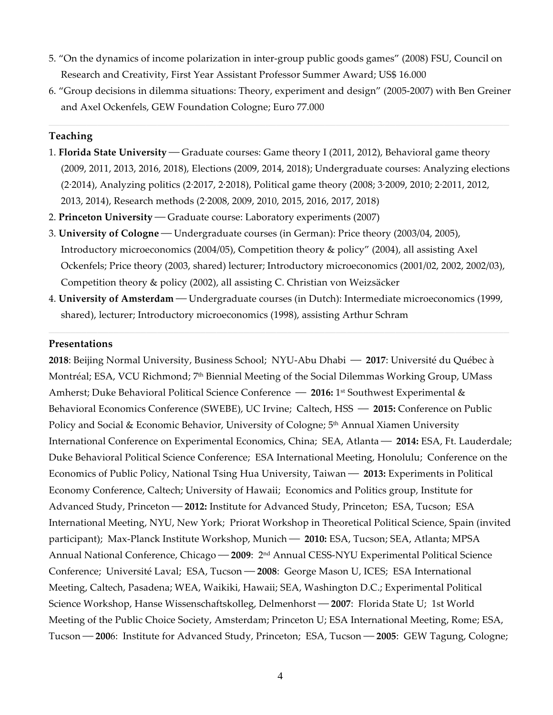- 5. "On the dynamics of income polarization in inter-group public goods games" (2008) FSU, Council on Research and Creativity, First Year Assistant Professor Summer Award; US\$ 16.000
- 6. "Group decisions in dilemma situations: Theory, experiment and design" (2005-2007) with Ben Greiner and Axel Ockenfels, GEW Foundation Cologne; Euro 77.000

#### **Teaching**

- 1. **Florida State University** Graduate courses: Game theory I (2011, 2012), Behavioral game theory (2009, 2011, 2013, 2016, 2018), Elections (2009, 2014, 2018); Undergraduate courses: Analyzing elections (2⋅2014), Analyzing politics (2⋅2017, 2⋅2018), Political game theory (2008; 3⋅2009, 2010; 2⋅2011, 2012, 2013, 2014), Research methods (2⋅2008, 2009, 2010, 2015, 2016, 2017, 2018)
- 2. **Princeton University** Graduate course: Laboratory experiments (2007)
- 3. **University of Cologne** Undergraduate courses (in German): Price theory (2003/04, 2005), Introductory microeconomics (2004/05), Competition theory & policy" (2004), all assisting Axel Ockenfels; Price theory (2003, shared) lecturer; Introductory microeconomics (2001/02, 2002, 2002/03), Competition theory & policy (2002), all assisting C. Christian von Weizsäcker
- 4. **University of Amsterdam** Undergraduate courses (in Dutch): Intermediate microeconomics (1999, shared), lecturer; Introductory microeconomics (1998), assisting Arthur Schram

#### **Presentations**

**2018**: Beijing Normal University, Business School; NYU-Abu Dhabi — 2017: Université du Québec à Montréal; ESA, VCU Richmond; 7th Biennial Meeting of the Social Dilemmas Working Group, UMass Amherst; Duke Behavioral Political Science Conference - 2016: 1<sup>st</sup> Southwest Experimental & Behavioral Economics Conference (SWEBE), UC Irvine; Caltech, HSS  $-$  2015: Conference on Public Policy and Social & Economic Behavior, University of Cologne; 5<sup>th</sup> Annual Xiamen University International Conference on Experimental Economics, China; SEA, Atlanta - 2014: ESA, Ft. Lauderdale; Duke Behavioral Political Science Conference; ESA International Meeting, Honolulu; Conference on the Economics of Public Policy, National Tsing Hua University, Taiwan — 2013: Experiments in Political Economy Conference, Caltech; University of Hawaii; Economics and Politics group, Institute for Advanced Study, Princeton **— 2012:** Institute for Advanced Study, Princeton; ESA, Tucson; ESA International Meeting, NYU, New York; Priorat Workshop in Theoretical Political Science, Spain (invited participant); Max-Planck Institute Workshop, Munich — 2010: ESA, Tucson; SEA, Atlanta; MPSA Annual National Conference, Chicago - 2009: 2<sup>nd</sup> Annual CESS-NYU Experimental Political Science Conference; Université Laval; ESA, Tucson - 2008: George Mason U, ICES; ESA International Meeting, Caltech, Pasadena; WEA, Waikiki, Hawaii; SEA, Washington D.C.; Experimental Political Science Workshop, Hanse Wissenschaftskolleg, Delmenhorst - 2007: Florida State U; 1st World Meeting of the Public Choice Society, Amsterdam; Princeton U; ESA International Meeting, Rome; ESA, Tucson — 2006: Institute for Advanced Study, Princeton; ESA, Tucson — 2005: GEW Tagung, Cologne;